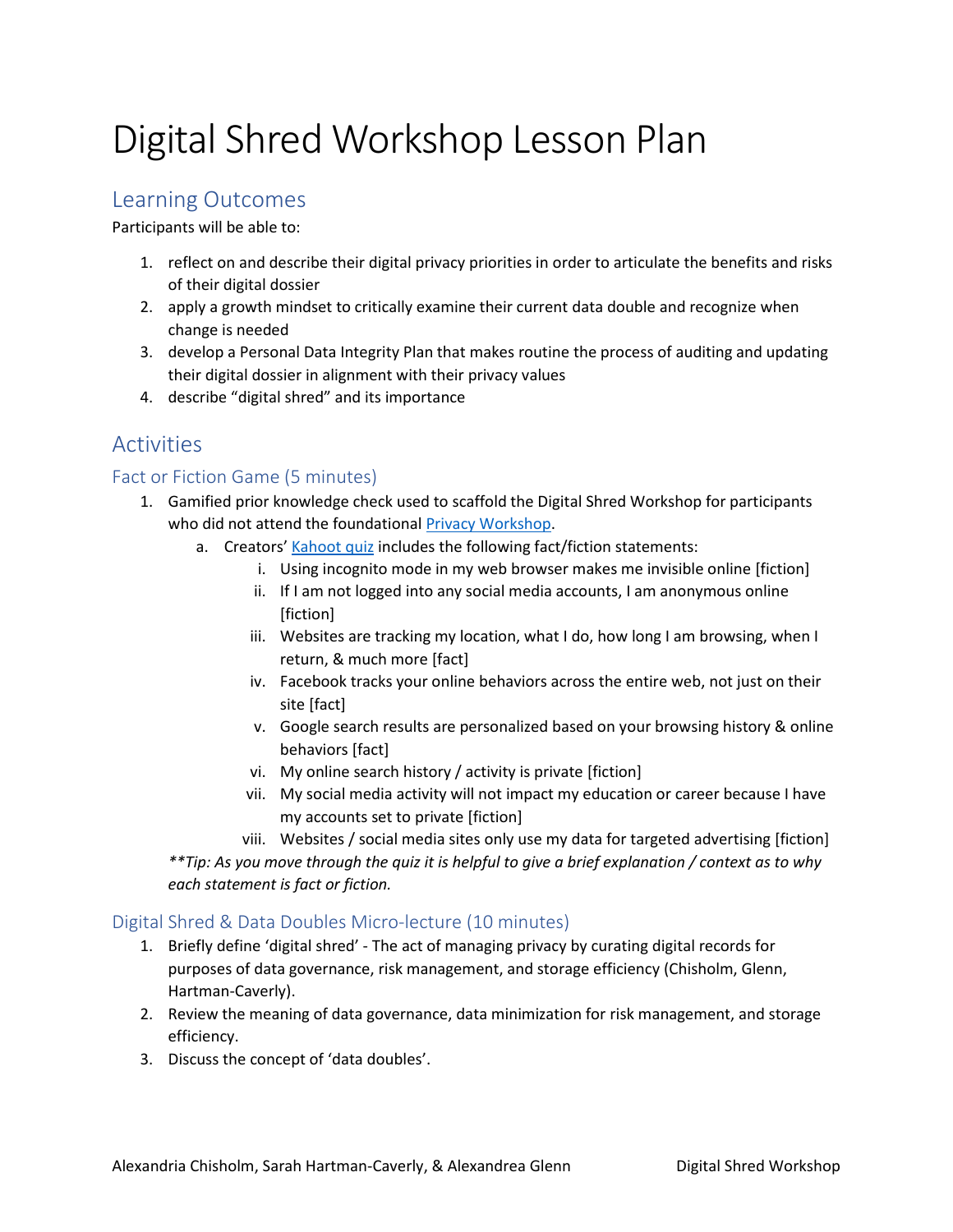# Digital Shred Workshop Lesson Plan

## Learning Outcomes

Participants will be able to:

- 1. reflect on and describe their digital privacy priorities in order to articulate the benefits and risks of their digital dossier
- 2. apply a growth mindset to critically examine their current data double and recognize when change is needed
- 3. develop a Personal Data Integrity Plan that makes routine the process of auditing and updating their digital dossier in alignment with their privacy values
- 4. describe "digital shred" and its importance

# Activities

## Fact or Fiction Game (5 minutes)

- 1. Gamified prior knowledge check used to scaffold the Digital Shred Workshop for participants who did not attend the foundationa[l Privacy Workshop.](https://guides.libraries.psu.edu/berks/privacy)
	- a. Creators' [Kahoot quiz](https://play.kahoot.it/v2/?quizId=419384e9-7768-4db3-831d-cbcfbcb67d82) includes the following fact/fiction statements:
		- i. Using incognito mode in my web browser makes me invisible online [fiction]
		- ii. If I am not logged into any social media accounts, I am anonymous online [fiction]
		- iii. Websites are tracking my location, what I do, how long I am browsing, when I return, & much more [fact]
		- iv. Facebook tracks your online behaviors across the entire web, not just on their site [fact]
		- v. Google search results are personalized based on your browsing history & online behaviors [fact]
		- vi. My online search history / activity is private [fiction]
		- vii. My social media activity will not impact my education or career because I have my accounts set to private [fiction]
		- viii. Websites / social media sites only use my data for targeted advertising [fiction]

*\*\*Tip: As you move through the quiz it is helpful to give a brief explanation / context as to why each statement is fact or fiction.*

#### Digital Shred & Data Doubles Micro-lecture (10 minutes)

- 1. Briefly define 'digital shred' The act of managing privacy by curating digital records for purposes of data governance, risk management, and storage efficiency (Chisholm, Glenn, Hartman-Caverly).
- 2. Review the meaning of data governance, data minimization for risk management, and storage efficiency.
- 3. Discuss the concept of 'data doubles'.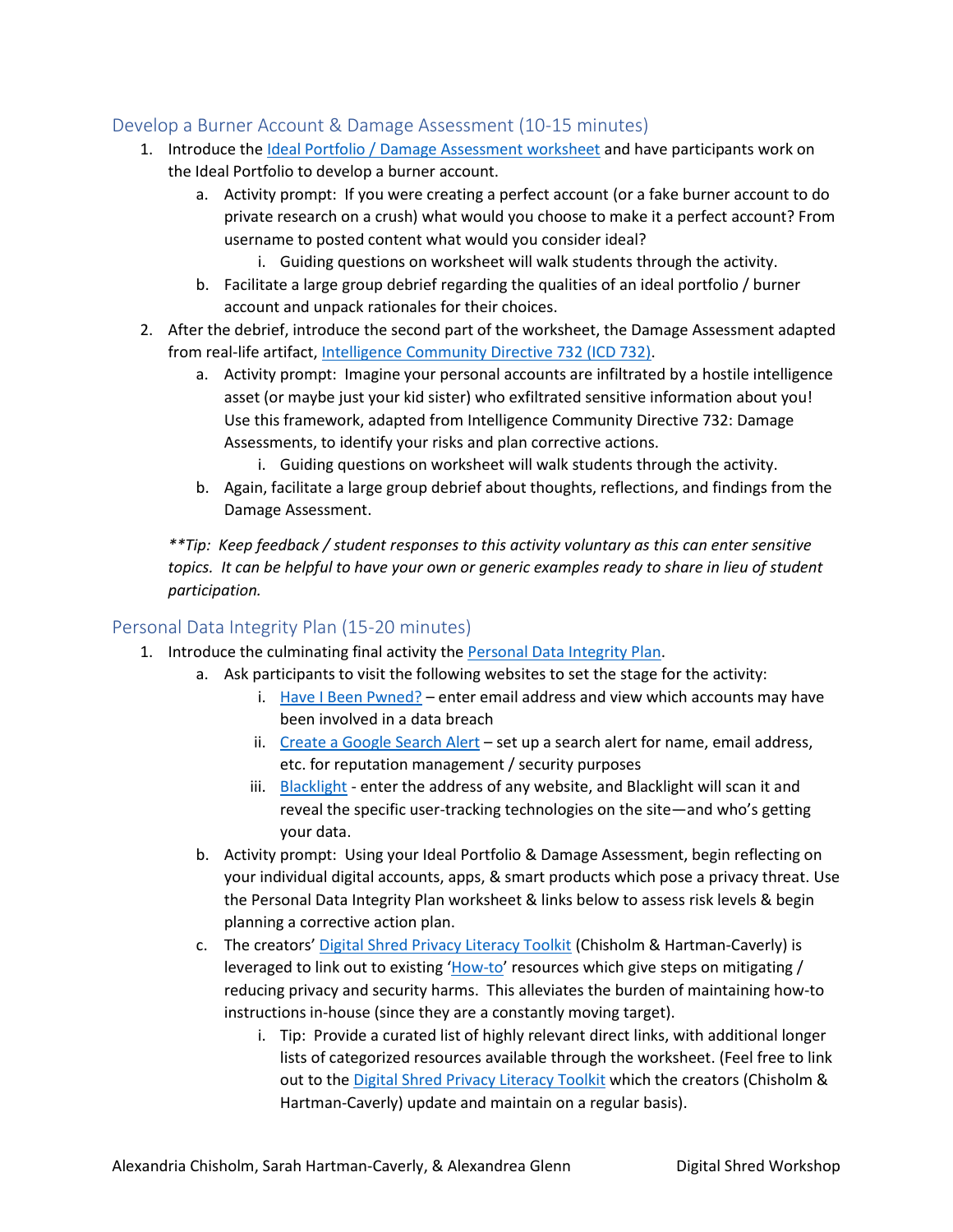### Develop a Burner Account & Damage Assessment (10-15 minutes)

- 1. Introduce the Ideal Portfolio [/ Damage Assessment](https://guides.libraries.psu.edu/ld.php?content_id=50941843) worksheet and have participants work on the Ideal Portfolio to develop a burner account.
	- a. Activity prompt: If you were creating a perfect account (or a fake burner account to do private research on a crush) what would you choose to make it a perfect account? From username to posted content what would you consider ideal?
		- i. Guiding questions on worksheet will walk students through the activity.
	- b. Facilitate a large group debrief regarding the qualities of an ideal portfolio / burner account and unpack rationales for their choices.
- 2. After the debrief, introduce the second part of the worksheet, the Damage Assessment adapted from real-life artifact, [Intelligence Community Directive 732 \(ICD 732\).](https://www.dni.gov/files/documents/ICD/ICD%20732.pdf)
	- a. Activity prompt: Imagine your personal accounts are infiltrated by a hostile intelligence asset (or maybe just your kid sister) who exfiltrated sensitive information about you! Use this framework, adapted from Intelligence Community Directive 732: Damage Assessments, to identify your risks and plan corrective actions.
		- i. Guiding questions on worksheet will walk students through the activity.
	- b. Again, facilitate a large group debrief about thoughts, reflections, and findings from the Damage Assessment.

*\*\*Tip: Keep feedback / student responses to this activity voluntary as this can enter sensitive topics. It can be helpful to have your own or generic examples ready to share in lieu of student participation.*

#### Personal Data Integrity Plan (15-20 minutes)

- 1. Introduce the culminating final activity th[e Personal Data Integrity Plan.](https://guides.libraries.psu.edu/ld.php?content_id=50920532)
	- a. Ask participants to visit the following websites to set the stage for the activity:
		- i. [Have I Been Pwned?](https://haveibeenpwned.com/) enter email address and view which accounts may have been involved in a data breach
		- ii. [Create a Google Search Alert](https://support.google.com/websearch/answer/4815696?hl=en) set up a search alert for name, email address, etc. for reputation management / security purposes
		- iii. [Blacklight](https://themarkup.org/blacklight) enter the address of any website, and Blacklight will scan it and reveal the specific user-tracking technologies on the site—and who's getting your data.
	- b. Activity prompt: Using your Ideal Portfolio & Damage Assessment, begin reflecting on your individual digital accounts, apps, & smart products which pose a privacy threat. Use the Personal Data Integrity Plan worksheet & links below to assess risk levels & begin planning a corrective action plan.
	- c. The creators' [Digital Shred Privacy Literacy Toolkit](https://sites.psu.edu/digitalshred/) (Chisholm & Hartman-Caverly) is leveraged to link out to existing '[How-to](https://sites.psu.edu/digitalshred/category/toolkits/)' resources which give steps on mitigating / reducing privacy and security harms. This alleviates the burden of maintaining how-to instructions in-house (since they are a constantly moving target).
		- i. Tip: Provide a curated list of highly relevant direct links, with additional longer lists of categorized resources available through the worksheet. (Feel free to link out to the [Digital Shred Privacy Literacy Toolkit](https://sites.psu.edu/digitalshred/) which the creators (Chisholm & Hartman-Caverly) update and maintain on a regular basis).